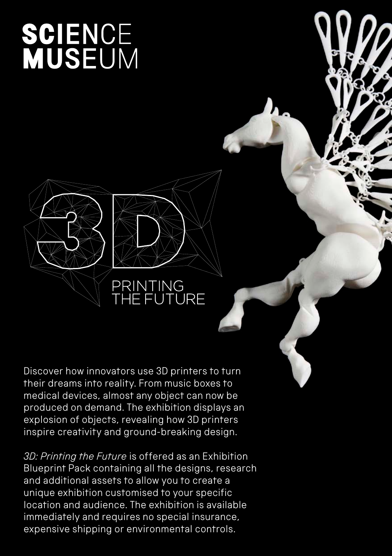# **SCIENCE<br>MUSEUM**

# PRINTING<br>THE FUTURE

Discover how innovators use 3D printers to turn their dreams into reality. From music boxes to medical devices, almost any object can now be produced on demand. The exhibition displays an explosion of objects, revealing how 3D printers inspire creativity and ground-breaking design.

*3D: Printing the Future* is offered as an Exhibition Blueprint Pack containing all the designs, research and additional assets to allow you to create a unique exhibition customised to your specific location and audience. The exhibition is available immediately and requires no special insurance, expensive shipping or environmental controls.